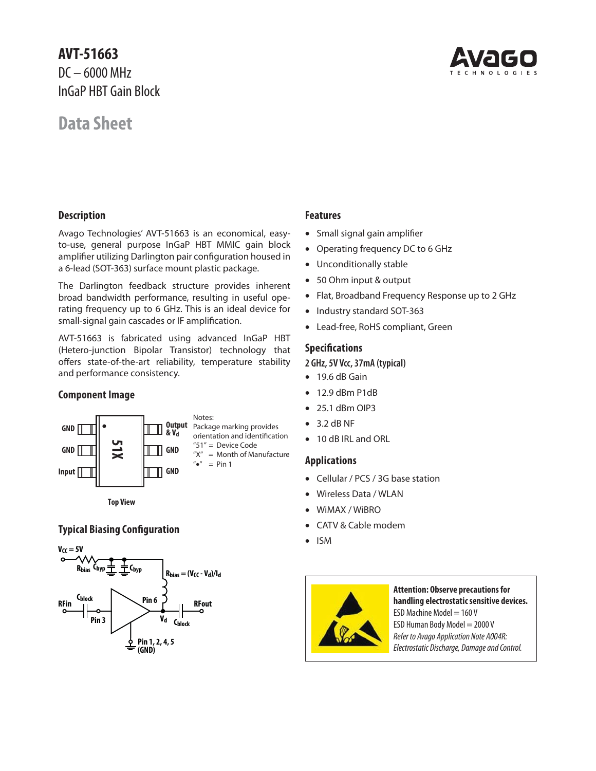# **AVT-51663** DC – 6000 MHz InGaP HBT Gain Block

# **Data Sheet**



## **Description**

Avago Technologies' AVT-51663 is an economical, easyto-use, general purpose InGaP HBT MMIC gain block amplifier utilizing Darlington pair configuration housed in a 6-lead (SOT-363) surface mount plastic package.

The Darlington feedback structure provides inherent broad bandwidth performance, resulting in useful operating frequency up to 6 GHz. This is an ideal device for small-signal gain cascades or IF amplification.

AVT-51663 is fabricated using advanced InGaP HBT (Hetero-junction Bipolar Transistor) technology that offers state-of-the-art reliability, temperature stability and performance consistency.

#### **Component Image**



**Top View**

## **Typical Biasing Configuration**



## **Features**

- Small signal gain amplifier
- Operating frequency DC to 6 GHz
- Unconditionally stable
- 50 Ohm input & output
- Flat, Broadband Frequency Response up to 2 GHz
- Industry standard SOT-363
- Lead-free, RoHS compliant, Green

## **Specifications**

#### **2 GHz, 5V Vcc, 37mA (typical)**

- 19.6 dB Gain
- 12.9 dBm P1dB
- 25.1 dBm OIP3
- $\bullet$  3.2 dB NF
- 10 dB IRL and ORL

## **Applications**

- Cellular / PCS / 3G base station
- Wireless Data / WLAN
- WiMAX / WiBRO
- CATV & Cable modem
- ISM



**Attention: Observe precautions for handling electrostatic sensitive devices.** ESD Machine Model  $= 160$  V ESD Human Body Model = 2000 V Refer to Avago Application Note A004R: Electrostatic Discharge, Damage and Control.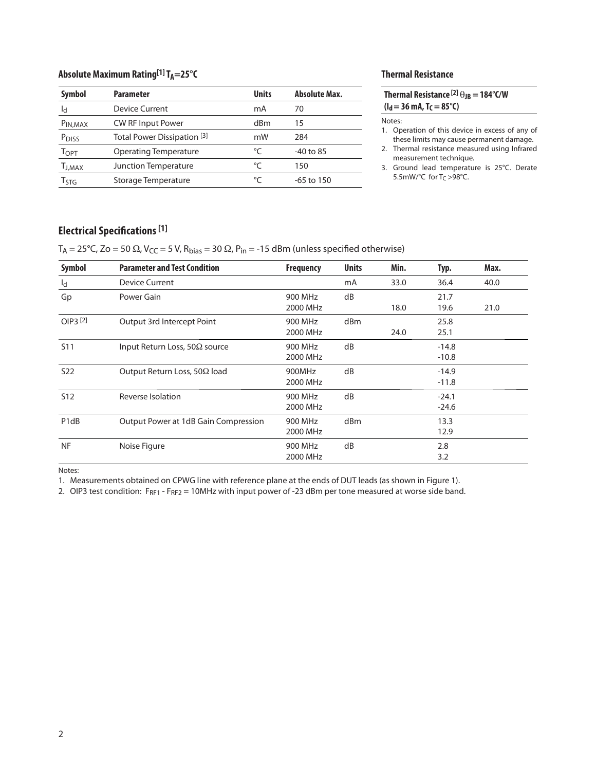## Absolute Maximum Rating<sup>[1]</sup> T<sub>A</sub>=25°C

| <b>Symbol</b>        | <b>Parameter</b>                       | <b>Units</b> | <b>Absolute Max.</b> |
|----------------------|----------------------------------------|--------------|----------------------|
| ld                   | Device Current                         | mA           | 70                   |
| P <sub>IN, MAX</sub> | <b>CW RF Input Power</b>               | dBm          | 15                   |
| P <sub>DISS</sub>    | Total Power Dissipation <sup>[3]</sup> | mW           | 284                  |
| Торт                 | <b>Operating Temperature</b>           | °⊂           | $-40$ to 85          |
| T <sub>J,MAX</sub>   | Junction Temperature                   | °C           | 150                  |
| Ҭҁҭҁ                 | Storage Temperature                    | °C           | $-65$ to 150         |

## **Thermal Resistance**

| Thermal Resistance $^{[2]}\theta_{JB} = 184^{\circ}$ C/W |  |
|----------------------------------------------------------|--|
| ( $I_d$ = 36 mA, T <sub>C</sub> = 85°C)                  |  |

Notes:

1. Operation of this device in excess of any of these limits may cause permanent damage.

2. Thermal resistance measured using Infrared measurement technique.

3. Ground lead temperature is 25°C. Derate 5.5mW/ $°C$  for T<sub>C</sub> > 98 $°C$ .

## **Electrical Specifications [1]**

T<sub>A</sub> = 25°C, Zo = 50  $\Omega$ , V<sub>CC</sub> = 5 V, R<sub>bias</sub> = 30  $\Omega$ , P<sub>in</sub> = -15 dBm (unless specified otherwise)

| Symbol                        | <b>Parameter and Test Condition</b>   | <b>Frequency</b>    | <b>Units</b>    | Min. | Typ.               | Max. |
|-------------------------------|---------------------------------------|---------------------|-----------------|------|--------------------|------|
| $I_d$                         | <b>Device Current</b>                 |                     | mA              | 33.0 | 36.4               | 40.0 |
| Gp                            | Power Gain                            | 900 MHz<br>2000 MHz | dB              | 18.0 | 21.7<br>19.6       | 21.0 |
| OIP3 <sup>[2]</sup>           | Output 3rd Intercept Point            | 900 MHz<br>2000 MHz | d <sub>Bm</sub> | 24.0 | 25.8<br>25.1       |      |
| <b>S11</b>                    | Input Return Loss, 50 $\Omega$ source | 900 MHz<br>2000 MHz | dB              |      | $-14.8$<br>$-10.8$ |      |
| S <sub>22</sub>               | Output Return Loss, 50 $\Omega$ load  | 900MHz<br>2000 MHz  | dB              |      | $-14.9$<br>$-11.8$ |      |
| S <sub>12</sub>               | Reverse Isolation                     | 900 MHz<br>2000 MHz | dB              |      | $-24.1$<br>$-24.6$ |      |
| P <sub>1</sub> d <sub>B</sub> | Output Power at 1dB Gain Compression  | 900 MHz<br>2000 MHz | d <sub>Bm</sub> |      | 13.3<br>12.9       |      |
| <b>NF</b>                     | Noise Figure                          | 900 MHz<br>2000 MHz | dB              |      | 2.8<br>3.2         |      |

Notes:

1. Measurements obtained on CPWG line with reference plane at the ends of DUT leads (as shown in Figure 1).

2. OIP3 test condition:  $F_{RF1}$  -  $F_{RF2}$  = 10MHz with input power of -23 dBm per tone measured at worse side band.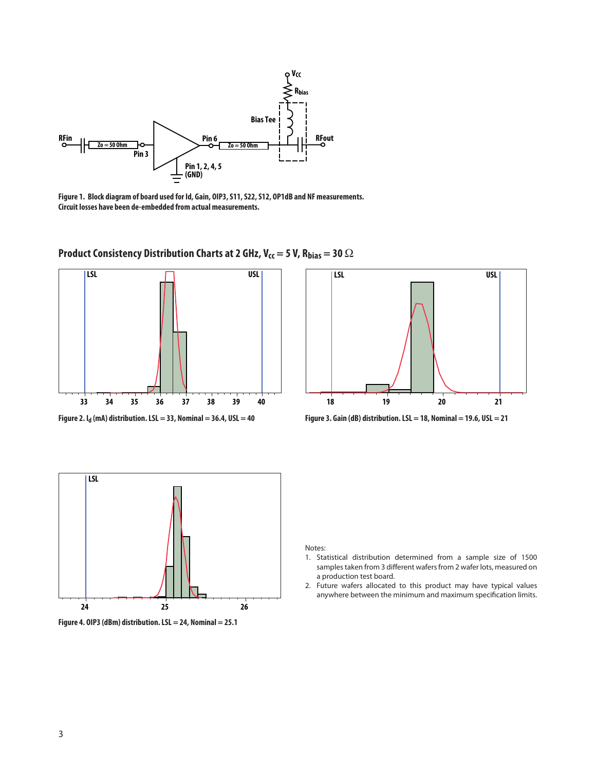

**Figure 1. Block diagram of board used for Id, Gain, OIP3, S11, S22, S12, OP1dB and NF measurements. Circuit losses have been de-embedded from actual measurements.**



**Product Consistency Distribution Charts at 2 GHz, V<sub>cc</sub> = 5 V, R<sub>bias</sub> = 30 Ω** 



**Figure 2. Id (mA) distribution. LSL = 33, Nominal = 36.4, USL = 40 Figure 3. Gain (dB) distribution. LSL = 18, Nominal = 19.6, USL = 21**





- 1. Statistical distribution determined from a sample size of 1500 samples taken from 3 different wafers from 2 wafer lots, measured on a production test board.
- 2. Future wafers allocated to this product may have typical values anywhere between the minimum and maximum specification limits.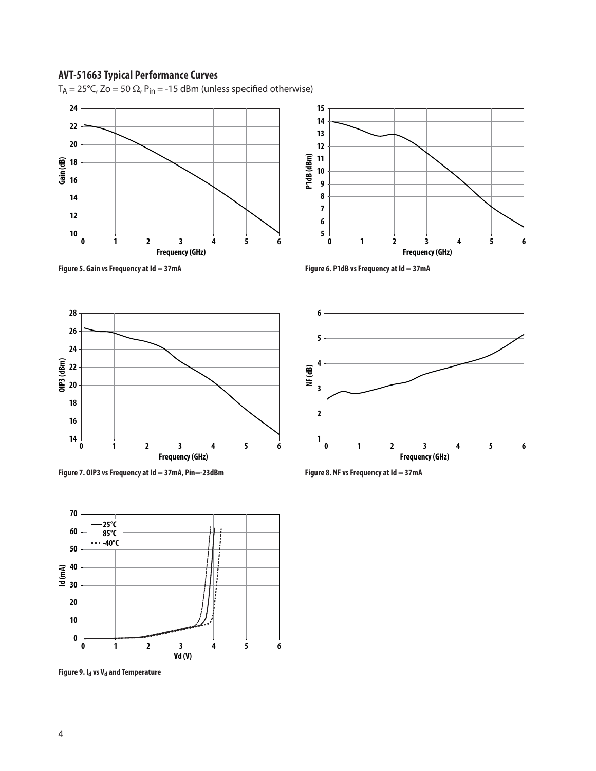T<sub>A</sub> = 25°C, Zo = 50 Ω, P<sub>in</sub> = -15 dBm (unless specified otherwise)







Figure 7. OIP3 vs Frequency at Id = 37mA, Pin=-23dBm Figure 8. NF vs Frequency at Id = 37mA



**Figure 9. I<sub>d</sub> vs V<sub>d</sub> and Temperature** 



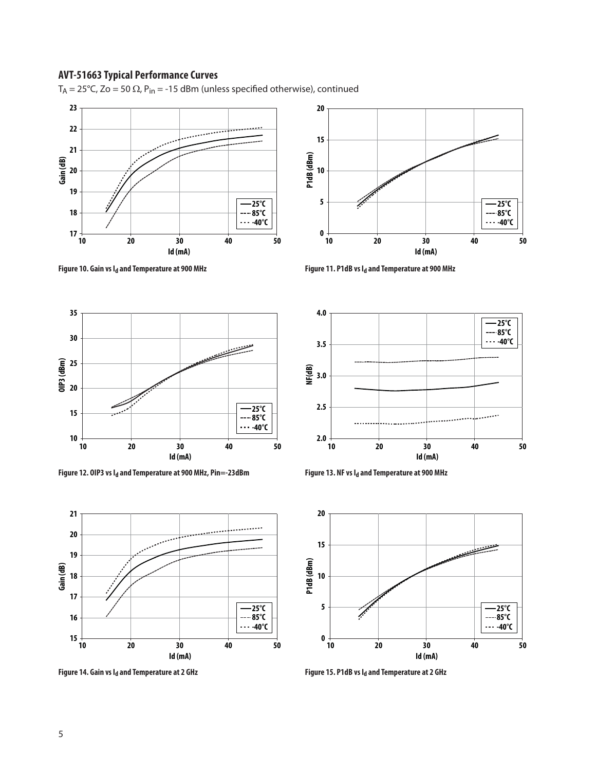





Figure 12. OIP3 vs I<sub>d</sub> and Temperature at 900 MHz, Pin=-23dBm **Figure 13. NF vs I<sub>d</sub> and Temperature at 900 MHz** 



Figure 14. Gain vs I<sub>d</sub> and Temperature at 2 GHz **Figure 15. P1dB vs Id and Temperature at 2 GHz** 



Figure 10. Gain vs I<sub>d</sub> and Temperature at 900 MHz **Figure 11. P1dB vs I<sub>d</sub> and Temperature at 900 MHz** 



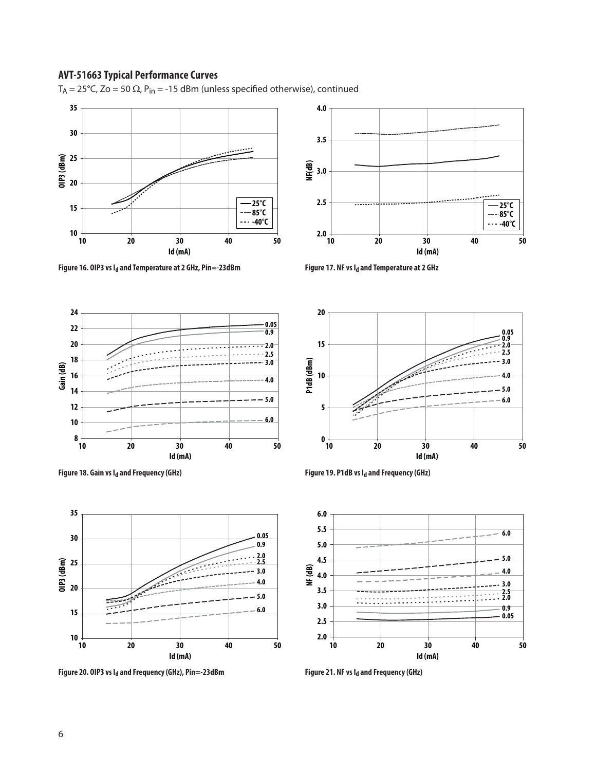



Figure 16. OIP3 vs I<sub>d</sub> and Temperature at 2 GHz, Pin=-23dBm Figure 17. NF vs I<sub>d</sub> and Temperature at 2 GHz



Figure 18. Gain vs I<sub>d</sub> and Frequency (GHz) **Figure 19. P1dB vs I<sub>d</sub> and Frequency (GHz)** 



Figure 20. OIP3 vs I<sub>d</sub> and Frequency (GHz), Pin=-23dBm Figure 21. NF vs I<sub>d</sub> and Frequency (GHz)





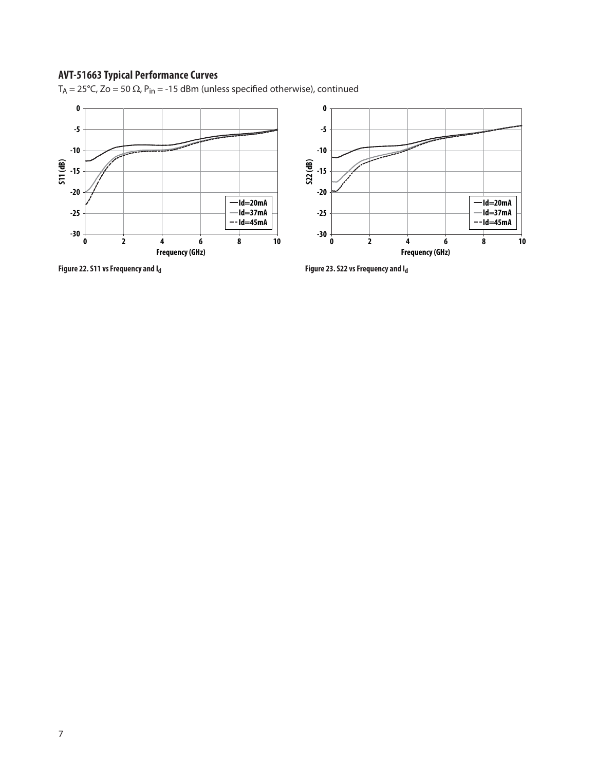T<sub>A</sub> = 25°C, Zo = 50  $\Omega$ , P<sub>in</sub> = -15 dBm (unless specified otherwise), continued

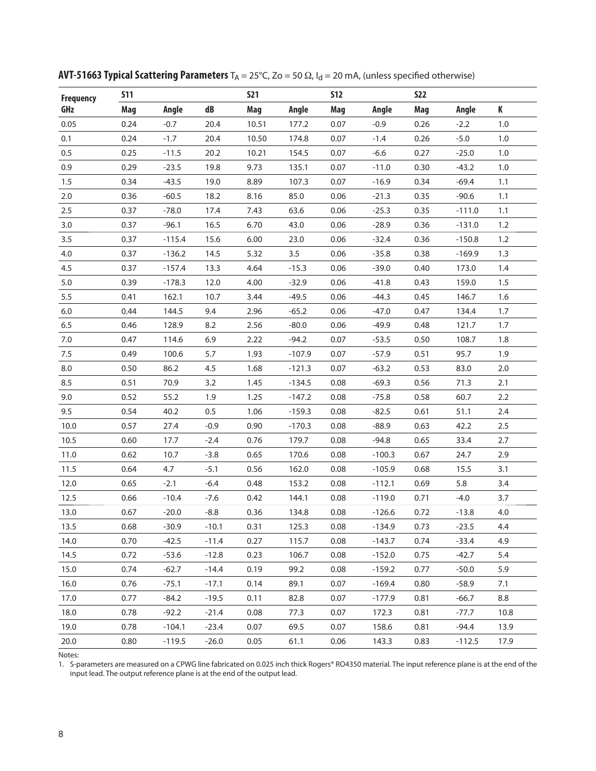| <b>Frequency</b> | <b>S11</b> |          |         | <b>S21</b> |          | <b>S12</b> |          | <b>S22</b> |          |      |
|------------------|------------|----------|---------|------------|----------|------------|----------|------------|----------|------|
| GHz              | Mag        | Angle    | dB      | Mag        | Angle    | Mag        | Angle    | Mag        | Angle    | K    |
| 0.05             | 0.24       | $-0.7$   | 20.4    | 10.51      | 177.2    | 0.07       | $-0.9$   | 0.26       | $-2.2$   | 1.0  |
| 0.1              | 0.24       | $-1.7$   | 20.4    | 10.50      | 174.8    | 0.07       | $-1.4$   | 0.26       | $-5.0$   | 1.0  |
| 0.5              | 0.25       | $-11.5$  | 20.2    | 10.21      | 154.5    | 0.07       | $-6.6$   | 0.27       | $-25.0$  | 1.0  |
| 0.9              | 0.29       | $-23.5$  | 19.8    | 9.73       | 135.1    | 0.07       | $-11.0$  | 0.30       | $-43.2$  | 1.0  |
| 1.5              | 0.34       | $-43.5$  | 19.0    | 8.89       | 107.3    | 0.07       | $-16.9$  | 0.34       | $-69.4$  | 1.1  |
| $2.0\,$          | 0.36       | $-60.5$  | 18.2    | 8.16       | 85.0     | 0.06       | $-21.3$  | 0.35       | $-90.6$  | 1.1  |
| 2.5              | 0.37       | $-78.0$  | 17.4    | 7.43       | 63.6     | 0.06       | $-25.3$  | 0.35       | $-111.0$ | 1.1  |
| 3.0              | 0.37       | $-96.1$  | 16.5    | 6.70       | 43.0     | 0.06       | $-28.9$  | 0.36       | $-131.0$ | 1.2  |
| 3.5              | 0.37       | $-115.4$ | 15.6    | 6.00       | 23.0     | 0.06       | $-32.4$  | 0.36       | $-150.8$ | 1.2  |
| 4.0              | 0.37       | $-136.2$ | 14.5    | 5.32       | 3.5      | 0.06       | $-35.8$  | 0.38       | $-169.9$ | 1.3  |
| 4.5              | 0.37       | $-157.4$ | 13.3    | 4.64       | $-15.3$  | 0.06       | $-39.0$  | 0.40       | 173.0    | 1.4  |
| 5.0              | 0.39       | $-178.3$ | 12.0    | 4.00       | $-32.9$  | 0.06       | $-41.8$  | 0.43       | 159.0    | 1.5  |
| $5.5\,$          | 0.41       | 162.1    | 10.7    | 3.44       | $-49.5$  | 0.06       | $-44.3$  | 0.45       | 146.7    | 1.6  |
| $6.0\,$          | 0.44       | 144.5    | 9.4     | 2.96       | $-65.2$  | 0.06       | $-47.0$  | 0.47       | 134.4    | 1.7  |
| 6.5              | 0.46       | 128.9    | 8.2     | 2.56       | $-80.0$  | 0.06       | $-49.9$  | 0.48       | 121.7    | 1.7  |
| $7.0\,$          | 0.47       | 114.6    | 6.9     | 2.22       | $-94.2$  | 0.07       | $-53.5$  | 0.50       | 108.7    | 1.8  |
| 7.5              | 0.49       | 100.6    | 5.7     | 1.93       | $-107.9$ | 0.07       | $-57.9$  | 0.51       | 95.7     | 1.9  |
| 8.0              | 0.50       | 86.2     | 4.5     | 1.68       | $-121.3$ | 0.07       | $-63.2$  | 0.53       | 83.0     | 2.0  |
| 8.5              | 0.51       | 70.9     | 3.2     | 1.45       | $-134.5$ | 0.08       | $-69.3$  | 0.56       | 71.3     | 2.1  |
| 9.0              | 0.52       | 55.2     | 1.9     | 1.25       | $-147.2$ | 0.08       | $-75.8$  | 0.58       | 60.7     | 2.2  |
| 9.5              | 0.54       | 40.2     | 0.5     | 1.06       | $-159.3$ | 0.08       | $-82.5$  | 0.61       | 51.1     | 2.4  |
| 10.0             | 0.57       | 27.4     | $-0.9$  | 0.90       | $-170.3$ | 0.08       | $-88.9$  | 0.63       | 42.2     | 2.5  |
| 10.5             | 0.60       | 17.7     | $-2.4$  | 0.76       | 179.7    | 0.08       | $-94.8$  | 0.65       | 33.4     | 2.7  |
| 11.0             | 0.62       | 10.7     | $-3.8$  | 0.65       | 170.6    | 0.08       | $-100.3$ | 0.67       | 24.7     | 2.9  |
| 11.5             | 0.64       | 4.7      | $-5.1$  | 0.56       | 162.0    | 0.08       | $-105.9$ | 0.68       | 15.5     | 3.1  |
| 12.0             | 0.65       | $-2.1$   | $-6.4$  | 0.48       | 153.2    | 0.08       | $-112.1$ | 0.69       | 5.8      | 3.4  |
| 12.5             | 0.66       | $-10.4$  | $-7.6$  | 0.42       | 144.1    | 0.08       | $-119.0$ | 0.71       | $-4.0$   | 3.7  |
| 13.0             | 0.67       | $-20.0$  | $-8.8$  | 0.36       | 134.8    | 0.08       | $-126.6$ | 0.72       | $-13.8$  | 4.0  |
| 13.5             | 0.68       | $-30.9$  | $-10.1$ | 0.31       | 125.3    | 0.08       | $-134.9$ | 0.73       | $-23.5$  | 4.4  |
| 14.0             | 0.70       | $-42.5$  | $-11.4$ | 0.27       | 115.7    | 0.08       | $-143.7$ | 0.74       | $-33.4$  | 4.9  |
| 14.5             | 0.72       | $-53.6$  | $-12.8$ | 0.23       | 106.7    | 0.08       | $-152.0$ | 0.75       | $-42.7$  | 5.4  |
| 15.0             | 0.74       | $-62.7$  | $-14.4$ | 0.19       | 99.2     | 0.08       | $-159.2$ | 0.77       | $-50.0$  | 5.9  |
| 16.0             | 0.76       | $-75.1$  | $-17.1$ | 0.14       | 89.1     | 0.07       | $-169.4$ | 0.80       | $-58.9$  | 7.1  |
| 17.0             | 0.77       | $-84.2$  | $-19.5$ | 0.11       | 82.8     | 0.07       | $-177.9$ | 0.81       | $-66.7$  | 8.8  |
| 18.0             | 0.78       | $-92.2$  | $-21.4$ | 0.08       | 77.3     | 0.07       | 172.3    | 0.81       | $-77.7$  | 10.8 |
| 19.0             | 0.78       | $-104.1$ | $-23.4$ | 0.07       | 69.5     | 0.07       | 158.6    | 0.81       | $-94.4$  | 13.9 |
| 20.0             | 0.80       | $-119.5$ | $-26.0$ | 0.05       | 61.1     | 0.06       | 143.3    | 0.83       | $-112.5$ | 17.9 |

**AVT-51663 Typical Scattering Parameters** T<sub>A</sub> = 25°C, Zo = 50 Ω, I<sub>d</sub> = 20 mA, (unless specified otherwise)

1. S-parameters are measured on a CPWG line fabricated on 0.025 inch thick Rogers® RO4350 material. The input reference plane is at the end of the input lead. The output reference plane is at the end of the output lead.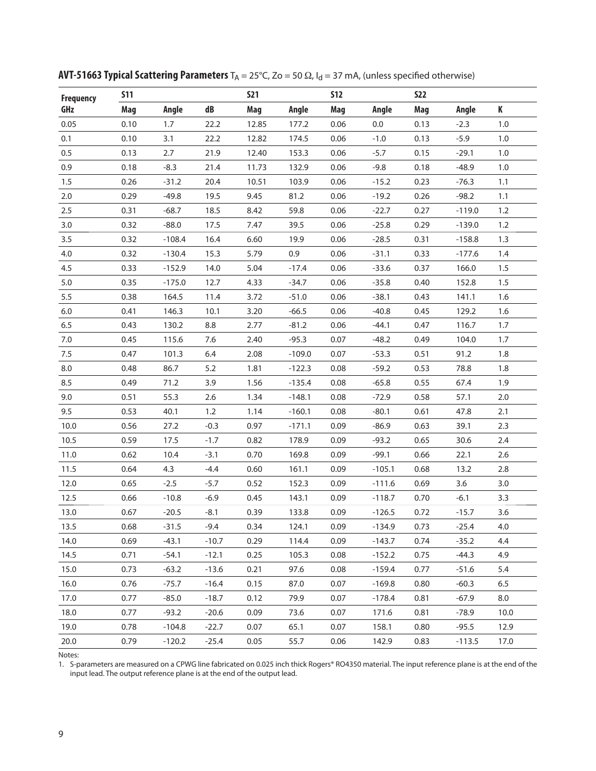| <b>Frequency</b> | <b>S11</b> |          |         | <b>S21</b> |          | <b>S12</b> |          | <b>S22</b> |          |      |
|------------------|------------|----------|---------|------------|----------|------------|----------|------------|----------|------|
| GHz              | Mag        | Angle    | dB      | Mag        | Angle    | Mag        | Angle    | Mag        | Angle    | K    |
| 0.05             | 0.10       | 1.7      | 22.2    | 12.85      | 177.2    | 0.06       | 0.0      | 0.13       | $-2.3$   | 1.0  |
| 0.1              | 0.10       | 3.1      | 22.2    | 12.82      | 174.5    | 0.06       | $-1.0$   | 0.13       | $-5.9$   | 1.0  |
| 0.5              | 0.13       | 2.7      | 21.9    | 12.40      | 153.3    | 0.06       | $-5.7$   | 0.15       | $-29.1$  | 1.0  |
| 0.9              | 0.18       | $-8.3$   | 21.4    | 11.73      | 132.9    | 0.06       | $-9.8$   | 0.18       | $-48.9$  | 1.0  |
| 1.5              | 0.26       | $-31.2$  | 20.4    | 10.51      | 103.9    | 0.06       | $-15.2$  | 0.23       | $-76.3$  | 1.1  |
| $2.0\,$          | 0.29       | $-49.8$  | 19.5    | 9.45       | 81.2     | 0.06       | $-19.2$  | 0.26       | $-98.2$  | 1.1  |
| 2.5              | 0.31       | $-68.7$  | 18.5    | 8.42       | 59.8     | 0.06       | $-22.7$  | 0.27       | $-119.0$ | 1.2  |
| 3.0              | 0.32       | $-88.0$  | 17.5    | 7.47       | 39.5     | 0.06       | $-25.8$  | 0.29       | $-139.0$ | 1.2  |
| 3.5              | 0.32       | $-108.4$ | 16.4    | 6.60       | 19.9     | 0.06       | $-28.5$  | 0.31       | $-158.8$ | 1.3  |
| 4.0              | 0.32       | $-130.4$ | 15.3    | 5.79       | 0.9      | 0.06       | $-31.1$  | 0.33       | $-177.6$ | 1.4  |
| 4.5              | 0.33       | $-152.9$ | 14.0    | 5.04       | $-17.4$  | 0.06       | $-33.6$  | 0.37       | 166.0    | 1.5  |
| $5.0$            | 0.35       | $-175.0$ | 12.7    | 4.33       | $-34.7$  | 0.06       | $-35.8$  | 0.40       | 152.8    | 1.5  |
| $5.5\,$          | 0.38       | 164.5    | 11.4    | 3.72       | $-51.0$  | 0.06       | $-38.1$  | 0.43       | 141.1    | 1.6  |
| $6.0\,$          | 0.41       | 146.3    | 10.1    | 3.20       | $-66.5$  | 0.06       | $-40.8$  | 0.45       | 129.2    | 1.6  |
| 6.5              | 0.43       | 130.2    | 8.8     | 2.77       | $-81.2$  | 0.06       | $-44.1$  | 0.47       | 116.7    | 1.7  |
| $7.0\,$          | 0.45       | 115.6    | 7.6     | 2.40       | $-95.3$  | 0.07       | $-48.2$  | 0.49       | 104.0    | 1.7  |
| 7.5              | 0.47       | 101.3    | $6.4$   | 2.08       | $-109.0$ | 0.07       | $-53.3$  | 0.51       | 91.2     | 1.8  |
| 8.0              | 0.48       | 86.7     | 5.2     | 1.81       | $-122.3$ | 0.08       | $-59.2$  | 0.53       | 78.8     | 1.8  |
| 8.5              | 0.49       | 71.2     | 3.9     | 1.56       | $-135.4$ | 0.08       | $-65.8$  | 0.55       | 67.4     | 1.9  |
| 9.0              | 0.51       | 55.3     | 2.6     | 1.34       | $-148.1$ | 0.08       | $-72.9$  | 0.58       | 57.1     | 2.0  |
| 9.5              | 0.53       | 40.1     | 1.2     | 1.14       | $-160.1$ | 0.08       | $-80.1$  | 0.61       | 47.8     | 2.1  |
| 10.0             | 0.56       | 27.2     | $-0.3$  | 0.97       | $-171.1$ | 0.09       | $-86.9$  | 0.63       | 39.1     | 2.3  |
| 10.5             | 0.59       | 17.5     | $-1.7$  | 0.82       | 178.9    | 0.09       | $-93.2$  | 0.65       | 30.6     | 2.4  |
| 11.0             | 0.62       | 10.4     | $-3.1$  | 0.70       | 169.8    | 0.09       | $-99.1$  | 0.66       | 22.1     | 2.6  |
| 11.5             | 0.64       | 4.3      | $-4.4$  | 0.60       | 161.1    | 0.09       | $-105.1$ | 0.68       | 13.2     | 2.8  |
| 12.0             | 0.65       | $-2.5$   | $-5.7$  | 0.52       | 152.3    | 0.09       | $-111.6$ | 0.69       | 3.6      | 3.0  |
| 12.5             | 0.66       | $-10.8$  | $-6.9$  | 0.45       | 143.1    | 0.09       | $-118.7$ | 0.70       | $-6.1$   | 3.3  |
| 13.0             | 0.67       | $-20.5$  | $-8.1$  | 0.39       | 133.8    | 0.09       | $-126.5$ | 0.72       | $-15.7$  | 3.6  |
| 13.5             | 0.68       | $-31.5$  | $-9.4$  | 0.34       | 124.1    | 0.09       | $-134.9$ | 0.73       | $-25.4$  | 4.0  |
| 14.0             | 0.69       | $-43.1$  | $-10.7$ | 0.29       | 114.4    | 0.09       | $-143.7$ | 0.74       | $-35.2$  | 4.4  |
| 14.5             | 0.71       | $-54.1$  | $-12.1$ | 0.25       | 105.3    | 0.08       | $-152.2$ | 0.75       | $-44.3$  | 4.9  |
| 15.0             | 0.73       | $-63.2$  | $-13.6$ | 0.21       | 97.6     | 0.08       | $-159.4$ | 0.77       | $-51.6$  | 5.4  |
| 16.0             | 0.76       | $-75.7$  | $-16.4$ | 0.15       | 87.0     | 0.07       | $-169.8$ | 0.80       | $-60.3$  | 6.5  |
| 17.0             | 0.77       | $-85.0$  | $-18.7$ | 0.12       | 79.9     | 0.07       | $-178.4$ | 0.81       | $-67.9$  | 8.0  |
| 18.0             | 0.77       | $-93.2$  | $-20.6$ | 0.09       | 73.6     | 0.07       | 171.6    | 0.81       | $-78.9$  | 10.0 |
| 19.0             | 0.78       | $-104.8$ | $-22.7$ | 0.07       | 65.1     | 0.07       | 158.1    | 0.80       | $-95.5$  | 12.9 |
| 20.0             | 0.79       | $-120.2$ | $-25.4$ | 0.05       | 55.7     | 0.06       | 142.9    | 0.83       | $-113.5$ | 17.0 |

**AVT-51663 Typical Scattering Parameters** T<sub>A</sub> = 25°C, Zo = 50 Ω, I<sub>d</sub> = 37 mA, (unless specified otherwise)

1. S-parameters are measured on a CPWG line fabricated on 0.025 inch thick Rogers® RO4350 material. The input reference plane is at the end of the input lead. The output reference plane is at the end of the output lead.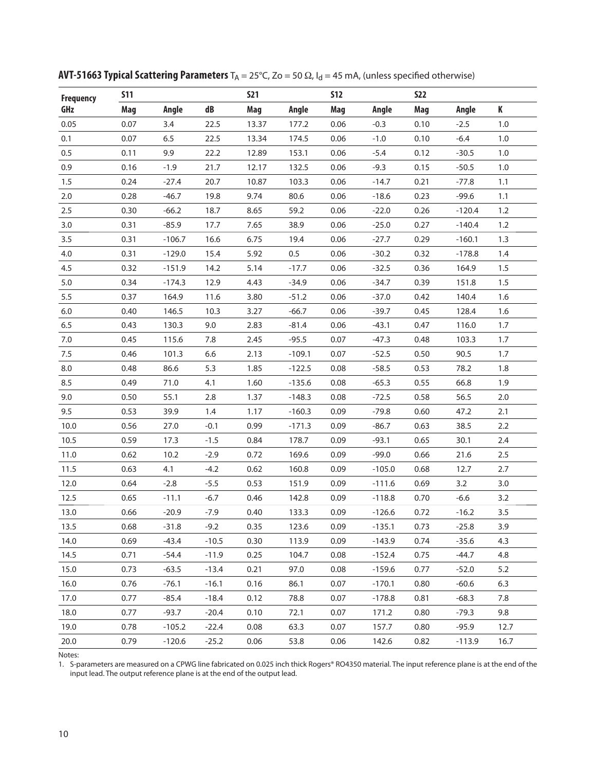| <b>Frequency</b> | <b>S11</b> |          |         | <b>S21</b> |          | <b>S12</b> |          | <b>S22</b> |          |      |
|------------------|------------|----------|---------|------------|----------|------------|----------|------------|----------|------|
| GHz              | Mag        | Angle    | dB      | Mag        | Angle    | Mag        | Angle    | Mag        | Angle    | K    |
| 0.05             | 0.07       | 3.4      | 22.5    | 13.37      | 177.2    | 0.06       | $-0.3$   | 0.10       | $-2.5$   | 1.0  |
| 0.1              | 0.07       | 6.5      | 22.5    | 13.34      | 174.5    | 0.06       | $-1.0$   | 0.10       | $-6.4$   | 1.0  |
| 0.5              | 0.11       | 9.9      | 22.2    | 12.89      | 153.1    | 0.06       | $-5.4$   | 0.12       | $-30.5$  | 1.0  |
| 0.9              | 0.16       | $-1.9$   | 21.7    | 12.17      | 132.5    | 0.06       | $-9.3$   | 0.15       | $-50.5$  | 1.0  |
| 1.5              | 0.24       | $-27.4$  | 20.7    | 10.87      | 103.3    | 0.06       | $-14.7$  | 0.21       | $-77.8$  | 1.1  |
| $2.0\,$          | 0.28       | $-46.7$  | 19.8    | 9.74       | 80.6     | 0.06       | $-18.6$  | 0.23       | $-99.6$  | 1.1  |
| 2.5              | 0.30       | $-66.2$  | 18.7    | 8.65       | 59.2     | 0.06       | $-22.0$  | 0.26       | $-120.4$ | 1.2  |
| 3.0              | 0.31       | $-85.9$  | 17.7    | 7.65       | 38.9     | 0.06       | $-25.0$  | 0.27       | $-140.4$ | 1.2  |
| 3.5              | 0.31       | $-106.7$ | 16.6    | 6.75       | 19.4     | 0.06       | $-27.7$  | 0.29       | $-160.1$ | 1.3  |
| 4.0              | 0.31       | $-129.0$ | 15.4    | 5.92       | 0.5      | 0.06       | $-30.2$  | 0.32       | $-178.8$ | 1.4  |
| 4.5              | 0.32       | $-151.9$ | 14.2    | 5.14       | $-17.7$  | 0.06       | $-32.5$  | 0.36       | 164.9    | 1.5  |
| $5.0$            | 0.34       | $-174.3$ | 12.9    | 4.43       | $-34.9$  | 0.06       | $-34.7$  | 0.39       | 151.8    | 1.5  |
| $5.5\,$          | 0.37       | 164.9    | 11.6    | 3.80       | $-51.2$  | 0.06       | $-37.0$  | 0.42       | 140.4    | 1.6  |
| $6.0\,$          | 0.40       | 146.5    | 10.3    | 3.27       | $-66.7$  | 0.06       | $-39.7$  | 0.45       | 128.4    | 1.6  |
| 6.5              | 0.43       | 130.3    | 9.0     | 2.83       | $-81.4$  | 0.06       | $-43.1$  | 0.47       | 116.0    | 1.7  |
| $7.0\,$          | 0.45       | 115.6    | 7.8     | 2.45       | $-95.5$  | 0.07       | $-47.3$  | 0.48       | 103.3    | 1.7  |
| 7.5              | 0.46       | 101.3    | 6.6     | 2.13       | $-109.1$ | 0.07       | $-52.5$  | 0.50       | 90.5     | 1.7  |
| 8.0              | 0.48       | 86.6     | 5.3     | 1.85       | $-122.5$ | 0.08       | $-58.5$  | 0.53       | 78.2     | 1.8  |
| 8.5              | 0.49       | 71.0     | 4.1     | 1.60       | $-135.6$ | 0.08       | $-65.3$  | 0.55       | 66.8     | 1.9  |
| 9.0              | 0.50       | 55.1     | 2.8     | 1.37       | $-148.3$ | 0.08       | $-72.5$  | 0.58       | 56.5     | 2.0  |
| 9.5              | 0.53       | 39.9     | 1.4     | 1.17       | $-160.3$ | 0.09       | $-79.8$  | 0.60       | 47.2     | 2.1  |
| 10.0             | 0.56       | 27.0     | $-0.1$  | 0.99       | $-171.3$ | 0.09       | $-86.7$  | 0.63       | 38.5     | 2.2  |
| 10.5             | 0.59       | 17.3     | $-1.5$  | 0.84       | 178.7    | 0.09       | $-93.1$  | 0.65       | 30.1     | 2.4  |
| 11.0             | 0.62       | 10.2     | $-2.9$  | 0.72       | 169.6    | 0.09       | $-99.0$  | 0.66       | 21.6     | 2.5  |
| 11.5             | 0.63       | 4.1      | $-4.2$  | 0.62       | 160.8    | 0.09       | $-105.0$ | 0.68       | 12.7     | 2.7  |
| 12.0             | 0.64       | $-2.8$   | $-5.5$  | 0.53       | 151.9    | 0.09       | $-111.6$ | 0.69       | 3.2      | 3.0  |
| 12.5             | 0.65       | $-11.1$  | $-6.7$  | 0.46       | 142.8    | 0.09       | $-118.8$ | 0.70       | $-6.6$   | 3.2  |
| 13.0             | 0.66       | $-20.9$  | $-7.9$  | 0.40       | 133.3    | 0.09       | $-126.6$ | 0.72       | $-16.2$  | 3.5  |
| 13.5             | 0.68       | $-31.8$  | $-9.2$  | 0.35       | 123.6    | 0.09       | $-135.1$ | 0.73       | $-25.8$  | 3.9  |
| 14.0             | 0.69       | $-43.4$  | $-10.5$ | 0.30       | 113.9    | 0.09       | $-143.9$ | 0.74       | $-35.6$  | 4.3  |
| 14.5             | 0.71       | $-54.4$  | $-11.9$ | 0.25       | 104.7    | 0.08       | $-152.4$ | 0.75       | $-44.7$  | 4.8  |
| 15.0             | 0.73       | $-63.5$  | $-13.4$ | 0.21       | 97.0     | 0.08       | $-159.6$ | 0.77       | $-52.0$  | 5.2  |
| 16.0             | 0.76       | $-76.1$  | $-16.1$ | 0.16       | 86.1     | 0.07       | $-170.1$ | 0.80       | $-60.6$  | 6.3  |
| 17.0             | 0.77       | $-85.4$  | $-18.4$ | 0.12       | 78.8     | 0.07       | $-178.8$ | 0.81       | $-68.3$  | 7.8  |
| 18.0             | 0.77       | $-93.7$  | $-20.4$ | 0.10       | 72.1     | 0.07       | 171.2    | 0.80       | $-79.3$  | 9.8  |
| 19.0             | 0.78       | $-105.2$ | $-22.4$ | 0.08       | 63.3     | 0.07       | 157.7    | 0.80       | $-95.9$  | 12.7 |
| 20.0             | 0.79       | $-120.6$ | $-25.2$ | 0.06       | 53.8     | 0.06       | 142.6    | 0.82       | $-113.9$ | 16.7 |

**AVT-51663 Typical Scattering Parameters** T<sub>A</sub> = 25°C, Zo = 50 Ω, I<sub>d</sub> = 45 mA, (unless specified otherwise)

1. S-parameters are measured on a CPWG line fabricated on 0.025 inch thick Rogers® RO4350 material. The input reference plane is at the end of the input lead. The output reference plane is at the end of the output lead.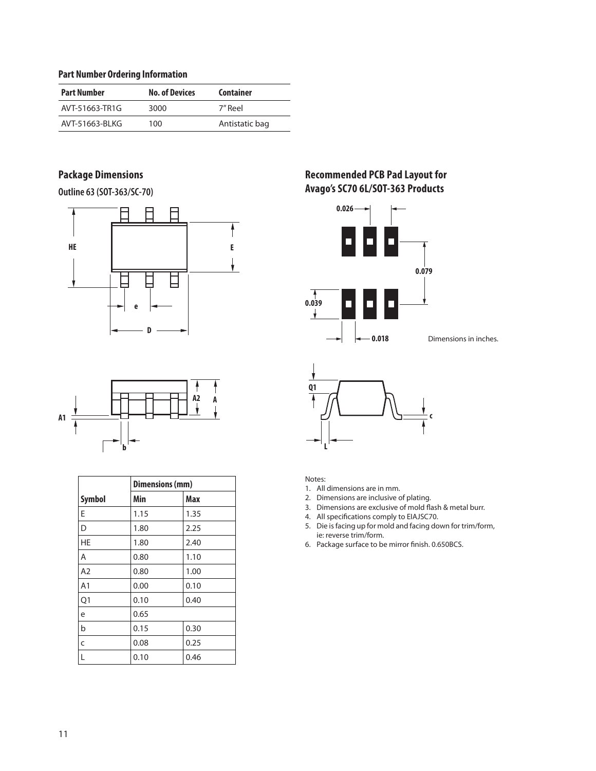#### **Part Number Ordering Information**

| <b>Part Number</b> | <b>No. of Devices</b> | Container      |
|--------------------|-----------------------|----------------|
| AVT-51663-TR1G     | 3000                  | 7″ Reel        |
| AVT-51663-BLKG     | 100                   | Antistatic bag |

# **Package Dimensions**

**Outline 63 (SOT-363/SC-70)**





|                | <b>Dimensions (mm)</b> |      |  |  |  |  |
|----------------|------------------------|------|--|--|--|--|
| <b>Symbol</b>  | Min                    | Max  |  |  |  |  |
| E              | 1.15                   | 1.35 |  |  |  |  |
| D              | 1.80                   | 2.25 |  |  |  |  |
| <b>HE</b>      | 1.80                   | 2.40 |  |  |  |  |
| Α              | 0.80                   | 1.10 |  |  |  |  |
| A <sub>2</sub> | 0.80                   | 1.00 |  |  |  |  |
| A <sub>1</sub> | 0.00                   | 0.10 |  |  |  |  |
| Q1             | 0.10                   | 0.40 |  |  |  |  |
| e              | 0.65                   |      |  |  |  |  |
| b              | 0.15                   | 0.30 |  |  |  |  |
| C              | 0.08                   | 0.25 |  |  |  |  |
| L              | 0.10                   | 0.46 |  |  |  |  |

# **Recommended PCB Pad Layout for Avago's SC70 6L/SOT-363 Products**





Notes:

- 1. All dimensions are in mm.
- 2. Dimensions are inclusive of plating.
- 3. Dimensions are exclusive of mold flash & metal burr.
- 4. All specifications comply to EIAJSC70.
- 5. Die is facing up for mold and facing down for trim/form, ie: reverse trim/form.
- 6. Package surface to be mirror finish. 0.650BCS.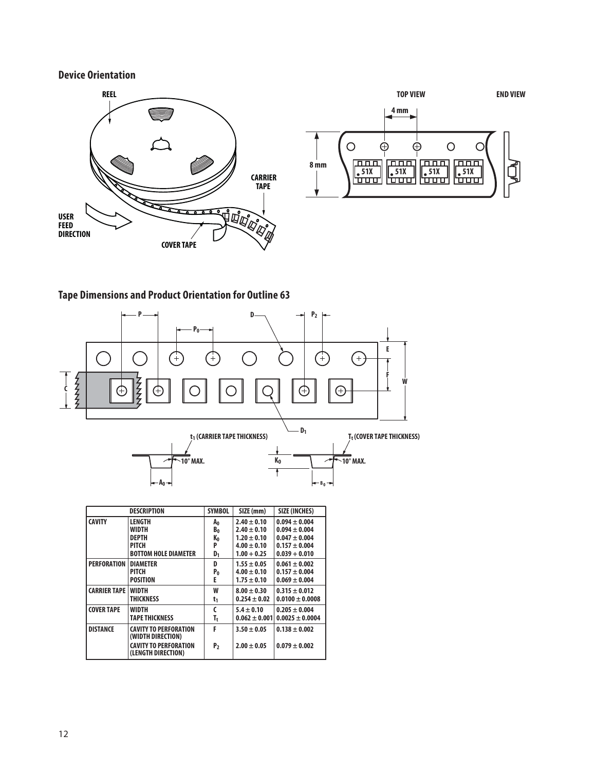## **Device Orientation**





## **Tape Dimensions and Product Orientation for Outline 63**



|                     | <b>DESCRIPTION</b>                                                                                      | <b>SYMBOL</b>       | SIZE (mm)                          | <b>SIZE (INCHES)</b>                   |
|---------------------|---------------------------------------------------------------------------------------------------------|---------------------|------------------------------------|----------------------------------------|
| <b>CAVITY</b>       | LENGTH                                                                                                  | A0                  | $2.40 \pm 0.10$                    | $0.094 \pm 0.004$                      |
|                     | <b>WIDTH</b>                                                                                            | B0                  | $2.40 \pm 0.10$                    | $0.094 \pm 0.004$                      |
|                     | <b>DEPTH</b>                                                                                            | K0                  | $1.20 \pm 0.10$                    | $0.047 \pm 0.004$                      |
|                     | <b>PITCH</b>                                                                                            | P                   | $4.00 \pm 0.10$                    | $0.157 \pm 0.004$                      |
|                     | <b>BOTTOM HOLE DIAMETER</b>                                                                             | D <sub>1</sub>      | $1.00 + 0.25$                      | $0.039 + 0.010$                        |
| <b>PERFORATION</b>  | <b>DIAMETER</b>                                                                                         | D                   | $1.55 \pm 0.05$                    | $0.061 \pm 0.002$                      |
|                     | PITCH                                                                                                   | P <sub>0</sub>      | $4.00 \pm 0.10$                    | $0.157 \pm 0.004$                      |
|                     | <b>POSITION</b>                                                                                         | E                   | $1.75 \pm 0.10$                    | $0.069 \pm 0.004$                      |
| <b>CARRIER TAPE</b> | <b>WIDTH</b>                                                                                            | W                   | $8.00 \pm 0.30$                    | $0.315 \pm 0.012$                      |
|                     | <b>THICKNESS</b>                                                                                        | t1                  | $0.254 \pm 0.02$                   | $0.0100 \pm 0.0008$                    |
| <b>COVER TAPE</b>   | <b>WIDTH</b>                                                                                            | C                   | $5.4 \pm 0.10$                     | $0.205 \pm 0.004$                      |
|                     | <b>TAPE THICKNESS</b>                                                                                   | T,                  | $0.062 \pm 0.001$                  | $0.0025 \pm 0.0004$                    |
| <b>DISTANCE</b>     | <b>CAVITY TO PERFORATION</b><br>(WIDTH DIRECTION)<br><b>CAVITY TO PERFORATION</b><br>(LENGTH DIRECTION) | F<br>P <sub>2</sub> | $3.50 \pm 0.05$<br>$2.00 \pm 0.05$ | $0.138 \pm 0.002$<br>$0.079 \pm 0.002$ |